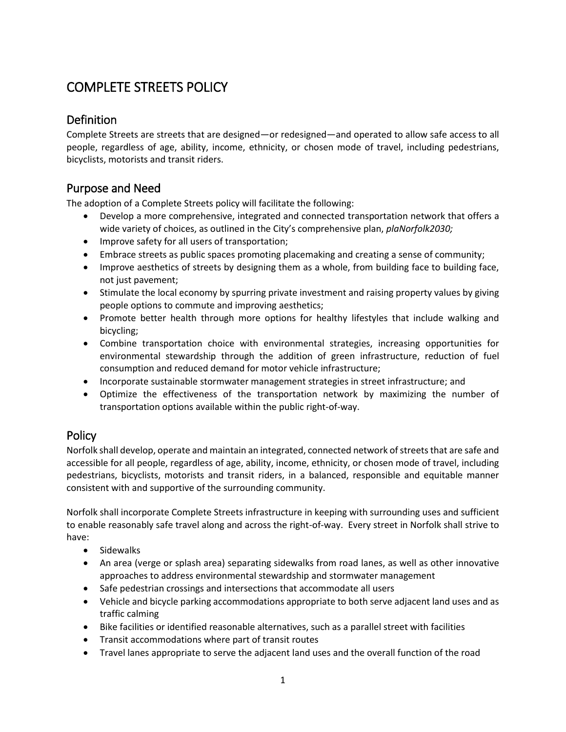# COMPLETE STREETS POLICY

# Definition

Complete Streets are streets that are designed—or redesigned—and operated to allow safe access to all people, regardless of age, ability, income, ethnicity, or chosen mode of travel, including pedestrians, bicyclists, motorists and transit riders.

# Purpose and Need

The adoption of a Complete Streets policy will facilitate the following:

- Develop a more comprehensive, integrated and connected transportation network that offers a wide variety of choices, as outlined in the City's comprehensive plan, *plaNorfolk2030;*
- Improve safety for all users of transportation;
- Embrace streets as public spaces promoting placemaking and creating a sense of community;
- Improve aesthetics of streets by designing them as a whole, from building face to building face, not just pavement;
- Stimulate the local economy by spurring private investment and raising property values by giving people options to commute and improving aesthetics;
- Promote better health through more options for healthy lifestyles that include walking and bicycling;
- Combine transportation choice with environmental strategies, increasing opportunities for environmental stewardship through the addition of green infrastructure, reduction of fuel consumption and reduced demand for motor vehicle infrastructure;
- Incorporate sustainable stormwater management strategies in street infrastructure; and
- Optimize the effectiveness of the transportation network by maximizing the number of transportation options available within the public right-of-way.

# **Policy**

Norfolk shall develop, operate and maintain an integrated, connected network of streets that are safe and accessible for all people, regardless of age, ability, income, ethnicity, or chosen mode of travel, including pedestrians, bicyclists, motorists and transit riders, in a balanced, responsible and equitable manner consistent with and supportive of the surrounding community.

Norfolk shall incorporate Complete Streets infrastructure in keeping with surrounding uses and sufficient to enable reasonably safe travel along and across the right-of-way. Every street in Norfolk shall strive to have:

- Sidewalks
- An area (verge or splash area) separating sidewalks from road lanes, as well as other innovative approaches to address environmental stewardship and stormwater management
- Safe pedestrian crossings and intersections that accommodate all users
- Vehicle and bicycle parking accommodations appropriate to both serve adjacent land uses and as traffic calming
- Bike facilities or identified reasonable alternatives, such as a parallel street with facilities
- Transit accommodations where part of transit routes
- Travel lanes appropriate to serve the adjacent land uses and the overall function of the road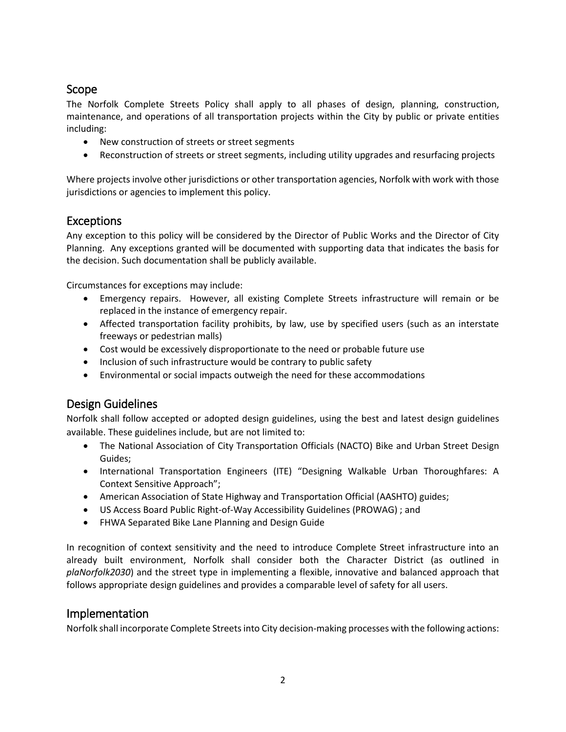#### Scope

The Norfolk Complete Streets Policy shall apply to all phases of design, planning, construction, maintenance, and operations of all transportation projects within the City by public or private entities including:

- New construction of streets or street segments
- Reconstruction of streets or street segments, including utility upgrades and resurfacing projects

Where projects involve other jurisdictions or other transportation agencies, Norfolk with work with those jurisdictions or agencies to implement this policy.

#### Exceptions

Any exception to this policy will be considered by the Director of Public Works and the Director of City Planning. Any exceptions granted will be documented with supporting data that indicates the basis for the decision. Such documentation shall be publicly available.

Circumstances for exceptions may include:

- Emergency repairs. However, all existing Complete Streets infrastructure will remain or be replaced in the instance of emergency repair.
- Affected transportation facility prohibits, by law, use by specified users (such as an interstate freeways or pedestrian malls)
- Cost would be excessively disproportionate to the need or probable future use
- Inclusion of such infrastructure would be contrary to public safety
- Environmental or social impacts outweigh the need for these accommodations

### Design Guidelines

Norfolk shall follow accepted or adopted design guidelines, using the best and latest design guidelines available. These guidelines include, but are not limited to:

- The National Association of City Transportation Officials (NACTO) Bike and Urban Street Design Guides;
- International Transportation Engineers (ITE) "Designing Walkable Urban Thoroughfares: A Context Sensitive Approach";
- American Association of State Highway and Transportation Official (AASHTO) guides;
- US Access Board Public Right-of-Way Accessibility Guidelines (PROWAG) ; and
- FHWA Separated Bike Lane Planning and Design Guide

In recognition of context sensitivity and the need to introduce Complete Street infrastructure into an already built environment, Norfolk shall consider both the Character District (as outlined in *plaNorfolk2030*) and the street type in implementing a flexible, innovative and balanced approach that follows appropriate design guidelines and provides a comparable level of safety for all users.

#### Implementation

Norfolk shall incorporate Complete Streets into City decision-making processes with the following actions: